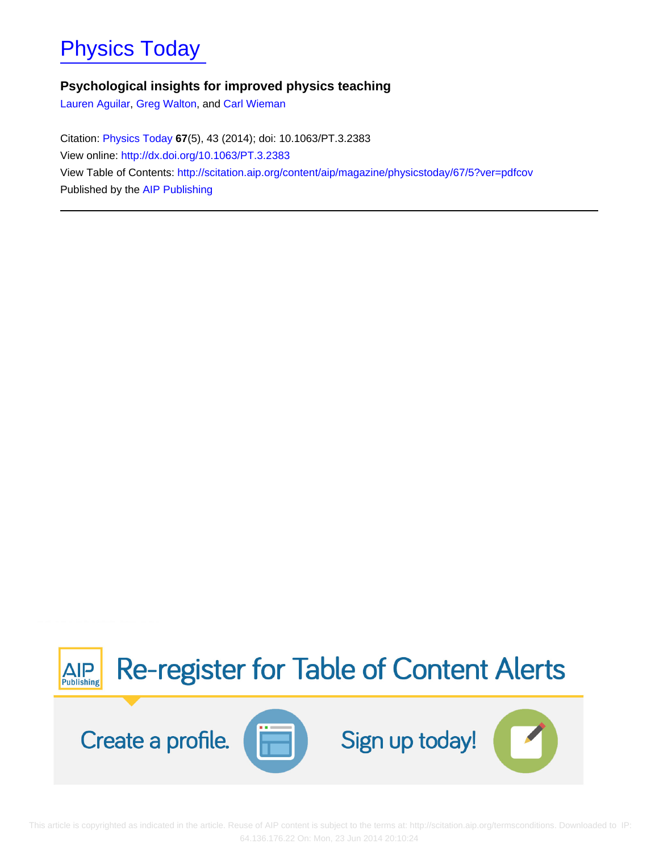# [Physics Today](http://scitation.aip.org/content/aip/magazine/physicstoday?ver=pdfcov)

# **Psychological insights for improved physics teaching**

[Lauren Aguilar](http://scitation.aip.org/search?value1=Lauren+Aguilar&option1=author), [Greg Walton,](http://scitation.aip.org/search?value1=Greg+Walton&option1=author) and [Carl Wieman](http://scitation.aip.org/search?value1=Carl+Wieman&option1=author)

Citation: [Physics Today](http://scitation.aip.org/content/aip/magazine/physicstoday?ver=pdfcov) **67**(5), 43 (2014); doi: 10.1063/PT.3.2383 View online: <http://dx.doi.org/10.1063/PT.3.2383> View Table of Contents: <http://scitation.aip.org/content/aip/magazine/physicstoday/67/5?ver=pdfcov> Published by the [AIP Publishing](http://scitation.aip.org/content/aip?ver=pdfcov)



 This article is copyrighted as indicated in the article. Reuse of AIP content is subject to the terms at: http://scitation.aip.org/termsconditions. Downloaded to IP: 64.136.176.22 On: Mon, 23 Jun 2014 20:10:24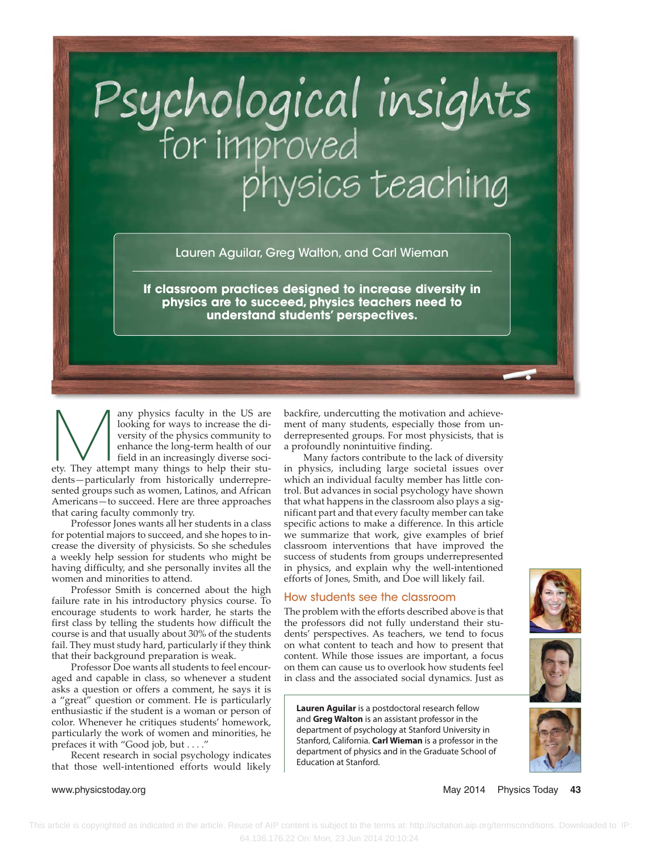# Psychological insights<br>for improved<br>physics teaching

Lauren Aguilar, Greg Walton, and Carl Wieman

**If classroom practices designed to increase diversity in physics are to succeed, physics teachers need to understand students' perspectives.**

any physics faculty in the US are<br>looking for ways to increase the diversity of the physics community to<br>enhance the long-term health of our<br>field in an increasingly diverse socilooking for ways to increase the diversity of the physics community to enhance the long-term health of our field in an increasingly diverse society. They attempt many things to help their students—particularly from historically underrepresented groups such as women, Latinos, and African Americans—to succeed. Here are three approaches that caring faculty commonly try.

Professor Jones wants all her students in a class for potential majors to succeed, and she hopes to increase the diversity of physicists. So she schedules a weekly help session for students who might be having difficulty, and she personally invites all the women and minorities to attend.

Professor Smith is concerned about the high failure rate in his introductory physics course. To encourage students to work harder, he starts the first class by telling the students how difficult the course is and that usually about 30% of the students fail. They must study hard, particularly if they think that their background preparation is weak.

Professor Doe wants all students to feel encouraged and capable in class, so whenever a student asks a question or offers a comment, he says it is a "great" question or comment. He is particularly enthusiastic if the student is a woman or person of color. Whenever he critiques students' homework, particularly the work of women and minorities, he prefaces it with "Good job, but . . . ."

Recent research in social psychology indicates that those well-intentioned efforts would likely backfire, undercutting the motivation and achievement of many students, especially those from underrepresented groups. For most physicists, that is a profoundly nonintuitive finding.

Many factors contribute to the lack of diversity in physics, including large societal issues over which an individual faculty member has little control. But advances in social psychology have shown that what happens in the classroom also plays a significant part and that every faculty member can take specific actions to make a difference. In this article we summarize that work, give examples of brief classroom interventions that have improved the success of students from groups underrepresented in physics, and explain why the well-intentioned efforts of Jones, Smith, and Doe will likely fail.

### How students see the classroom

The problem with the efforts described above is that the professors did not fully understand their students' perspectives. As teachers, we tend to focus on what content to teach and how to present that content. While those issues are important, a focus on them can cause us to overlook how students feel in class and the associated social dynamics. Just as

**Lauren Aguilar** is a postdoctoral research fellow and **Greg Walton** is an assistant professor in the department of psychology at Stanford University in Stanford, California. **Carl Wieman** is a professor in the department of physics and in the Graduate School of Education at Stanford.





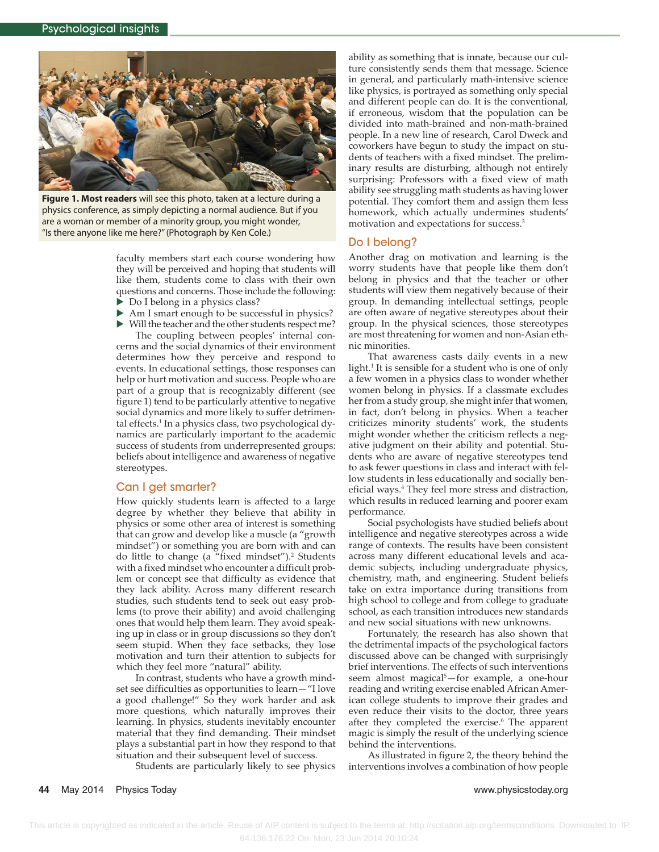

**Figure 1. Most readers** will see this photo, taken at a lecture during a physics conference, as simply depicting a normal audience. But if you are a woman or member of a minority group, you might wonder, "Is there anyone like me here?" (Photograph by Ken Cole.)

faculty members start each course wondering how they will be perceived and hoping that students will like them, students come to class with their own questions and concerns. Those include the following:

- ▶ Do I belong in a physics class?
- ‣ Am I smart enough to be successful in physics?

‣ Will the teacher and the other students respect me? The coupling between peoples' internal concerns and the social dynamics of their environment determines how they perceive and respond to

events. In educational settings, those responses can help or hurt motivation and success. People who are part of a group that is recognizably different (see figure 1) tend to be particularly attentive to negative social dynamics and more likely to suffer detrimental effects.<sup>1</sup> In a physics class, two psychological dynamics are particularly important to the academic success of students from underrepresented groups: beliefs about intelligence and awareness of negative stereotypes.

### Can I get smarter?

How quickly students learn is affected to a large degree by whether they believe that ability in physics or some other area of interest is something that can grow and develop like a muscle (a "growth mindset") or something you are born with and can do little to change (a "fixed mindset").2 Students with a fixed mindset who encounter a difficult problem or concept see that difficulty as evidence that they lack ability. Across many different research studies, such students tend to seek out easy problems (to prove their ability) and avoid challenging ones that would help them learn. They avoid speaking up in class or in group discussions so they don't seem stupid. When they face setbacks, they lose motivation and turn their attention to subjects for which they feel more "natural" ability.

In contrast, students who have a growth mindset see difficulties as opportunities to learn—"I love a good challenge!" So they work harder and ask more questions, which naturally improves their learning. In physics, students inevitably encounter material that they find demanding. Their mindset plays a substantial part in how they respond to that situation and their subsequent level of success.

Students are particularly likely to see physics

ability as something that is innate, because our culture consistently sends them that message. Science in general, and particularly math-intensive science like physics, is portrayed as something only special and different people can do. It is the conventional, if erroneous, wisdom that the population can be divided into math-brained and non-math-brained people. In a new line of research, Carol Dweck and coworkers have begun to study the impact on students of teachers with a fixed mindset. The preliminary results are disturbing, although not entirely surprising: Professors with a fixed view of math ability see struggling math students as having lower potential. They comfort them and assign them less homework, which actually undermines students' motivation and expectations for success.3

### Do I belong?

Another drag on motivation and learning is the worry students have that people like them don't belong in physics and that the teacher or other students will view them negatively because of their group. In demanding intellectual settings, people are often aware of negative stereotypes about their group. In the physical sciences, those stereotypes are most threatening for women and non-Asian ethnic minorities.

That awareness casts daily events in a new light.<sup>1</sup> It is sensible for a student who is one of only a few women in a physics class to wonder whether women belong in physics. If a classmate excludes her from a study group, she might infer that women, in fact, don't belong in physics. When a teacher criticizes minority students' work, the students might wonder whether the criticism reflects a negative judgment on their ability and potential. Students who are aware of negative stereotypes tend to ask fewer questions in class and interact with fellow students in less educationally and socially beneficial ways.4 They feel more stress and distraction, which results in reduced learning and poorer exam performance.

Social psychologists have studied beliefs about intelligence and negative stereotypes across a wide range of contexts. The results have been consistent across many different educational levels and academic subjects, including undergraduate physics, chemistry, math, and engineering. Student beliefs take on extra importance during transitions from high school to college and from college to graduate school, as each transition introduces new standards and new social situations with new unknowns.

Fortunately, the research has also shown that the detrimental impacts of the psychological factors discussed above can be changed with surprisingly brief interventions. The effects of such interventions seem almost magical5 —for example, a one-hour reading and writing exercise enabled African American college students to improve their grades and even reduce their visits to the doctor, three years after they completed the exercise.<sup>6</sup> The apparent magic is simply the result of the underlying science behind the interventions.

As illustrated in figure 2, the theory behind the interventions involves a combination of how people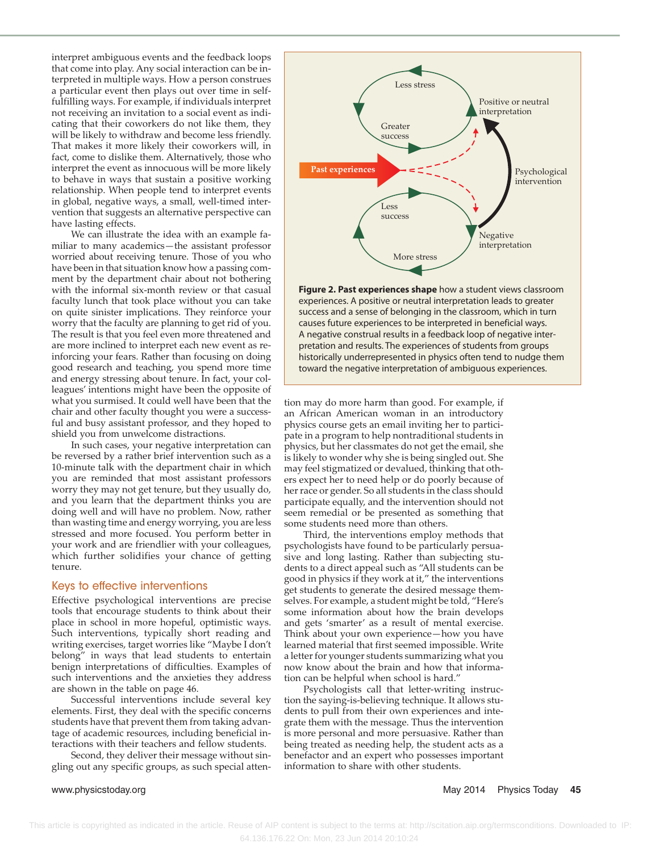interpret ambiguous events and the feedback loops that come into play. Any social interaction can be interpreted in multiple ways. How a person construes a particular event then plays out over time in selffulfilling ways. For example, if individuals interpret not receiving an invitation to a social event as indicating that their coworkers do not like them, they will be likely to withdraw and become less friendly. That makes it more likely their coworkers will, in fact, come to dislike them. Alternatively, those who interpret the event as innocuous will be more likely to behave in ways that sustain a positive working relationship. When people tend to interpret events in global, negative ways, a small, well-timed intervention that suggests an alternative perspective can have lasting effects.

We can illustrate the idea with an example familiar to many academics—the assistant professor worried about receiving tenure. Those of you who have been in that situation know how a passing comment by the department chair about not bothering with the informal six-month review or that casual faculty lunch that took place without you can take on quite sinister implications. They reinforce your worry that the faculty are planning to get rid of you. The result is that you feel even more threatened and are more inclined to interpret each new event as reinforcing your fears. Rather than focusing on doing good research and teaching, you spend more time and energy stressing about tenure. In fact, your colleagues' intentions might have been the opposite of what you surmised. It could well have been that the chair and other faculty thought you were a successful and busy assistant professor, and they hoped to shield you from unwelcome distractions.

In such cases, your negative interpretation can be reversed by a rather brief intervention such as a 10-minute talk with the department chair in which you are reminded that most assistant professors worry they may not get tenure, but they usually do, and you learn that the department thinks you are doing well and will have no problem. Now, rather than wasting time and energy worrying, you are less stressed and more focused. You perform better in your work and are friendlier with your colleagues, which further solidifies your chance of getting tenure.

### Keys to effective interventions

Effective psychological interventions are precise tools that encourage students to think about their place in school in more hopeful, optimistic ways. Such interventions, typically short reading and writing exercises, target worries like "Maybe I don't belong" in ways that lead students to entertain benign interpretations of difficulties. Examples of such interventions and the anxieties they address are shown in the table on page 46.

Successful interventions include several key elements. First, they deal with the specific concerns students have that prevent them from taking advantage of academic resources, including beneficial interactions with their teachers and fellow students.

Second, they deliver their message without singling out any specific groups, as such special atten-



**Figure 2. Past experiences shape** how a student views classroom experiences. A positive or neutral interpretation leads to greater success and a sense of belonging in the classroom, which in turn causes future experiences to be interpreted in beneficial ways. A negative construal results in a feedback loop of negative inter pretation and results. The experiences of students from groups historically underrepresented in physics often tend to nudge them toward the negative interpretation of ambiguous experiences.

tion may do more harm than good. For example, if an African American woman in an introductory physics course gets an email inviting her to participate in a program to help nontraditional students in physics, but her classmates do not get the email, she is likely to wonder why she is being singled out. She may feel stigmatized or devalued, thinking that others expect her to need help or do poorly because of her race or gender. So all students in the class should participate equally, and the intervention should not seem remedial or be presented as something that some students need more than others.

Third, the interventions employ methods that psychologists have found to be particularly persuasive and long lasting. Rather than subjecting students to a direct appeal such as "All students can be good in physics if they work at it," the interventions get students to generate the desired message themselves. For example, a student might be told, "Here's some information about how the brain develops and gets 'smarter' as a result of mental exercise. Think about your own experience—how you have learned material that first seemed impossible. Write a letter for younger students summarizing what you now know about the brain and how that information can be helpful when school is hard."

Psychologists call that letter-writing instruction the saying-is-believing technique. It allows students to pull from their own experiences and integrate them with the message. Thus the intervention is more personal and more persuasive. Rather than being treated as needing help, the student acts as a benefactor and an expert who possesses important information to share with other students.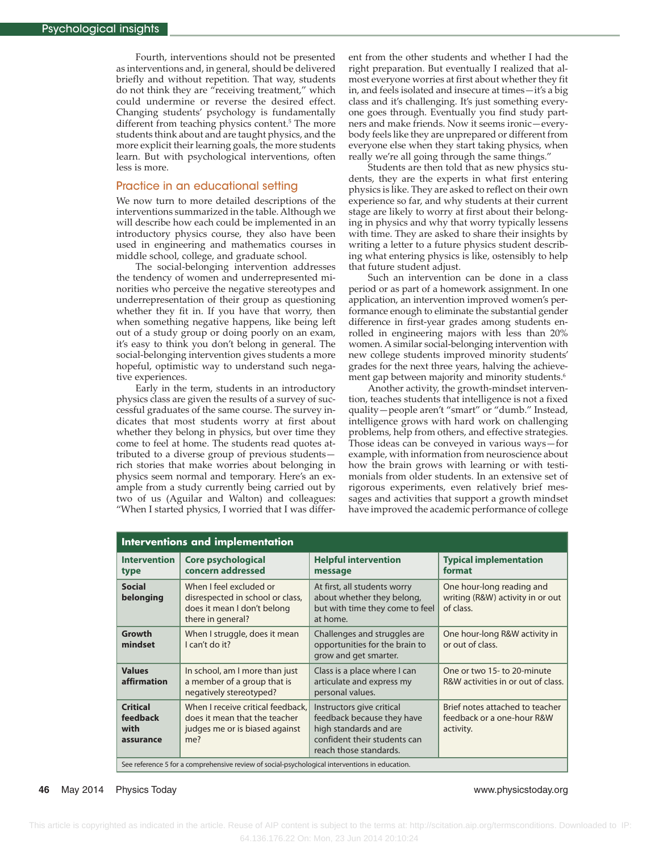Fourth, interventions should not be presented as interventions and, in general, should be delivered briefly and without repetition. That way, students do not think they are "receiving treatment," which could undermine or reverse the desired effect. Changing students' psychology is fundamentally different from teaching physics content.<sup>5</sup> The more students think about and are taught physics, and the more explicit their learning goals, the more students learn. But with psychological interventions, often less is more.

### Practice in an educational setting

We now turn to more detailed descriptions of the interventions summarized in the table. Although we will describe how each could be implemented in an introductory physics course, they also have been used in engineering and mathematics courses in middle school, college, and graduate school.

The social-belonging intervention addresses the tendency of women and underrepresented minorities who perceive the negative stereotypes and underrepresentation of their group as questioning whether they fit in. If you have that worry, then when something negative happens, like being left out of a study group or doing poorly on an exam, it's easy to think you don't belong in general. The social-belonging intervention gives students a more hopeful, optimistic way to understand such negative experiences.

Early in the term, students in an introductory physics class are given the results of a survey of successful graduates of the same course. The survey indicates that most students worry at first about whether they belong in physics, but over time they come to feel at home. The students read quotes attributed to a diverse group of previous students rich stories that make worries about belonging in physics seem normal and temporary. Here's an example from a study currently being carried out by two of us (Aguilar and Walton) and colleagues: "When I started physics, I worried that I was differ-

ent from the other students and whether I had the right preparation. But eventually I realized that almost everyone worries at first about whether they fit in, and feels isolated and insecure at times—it's a big class and it's challenging. It's just something everyone goes through. Eventually you find study partners and make friends. Now it seems ironic—everybody feels like they are unprepared or different from everyone else when they start taking physics, when really we're all going through the same things."

Students are then told that as new physics students, they are the experts in what first entering physics is like. They are asked to reflect on their own experience so far, and why students at their current stage are likely to worry at first about their belonging in physics and why that worry typically lessens with time. They are asked to share their insights by writing a letter to a future physics student describing what entering physics is like, ostensibly to help that future student adjust.

Such an intervention can be done in a class period or as part of a homework assignment. In one application, an intervention improved women's performance enough to eliminate the substantial gender difference in first-year grades among students enrolled in engineering majors with less than 20% women. A similar social-belonging intervention with new college students improved minority students' grades for the next three years, halving the achievement gap between majority and minority students.<sup>6</sup>

Another activity, the growth-mindset intervention, teaches students that intelligence is not a fixed quality—people aren't "smart" or "dumb." Instead, intelligence grows with hard work on challenging problems, help from others, and effective strategies. Those ideas can be conveyed in various ways—for example, with information from neuroscience about how the brain grows with learning or with testimonials from older students. In an extensive set of rigorous experiments, even relatively brief messages and activities that support a growth mindset have improved the academic performance of college

| Interventions and implementation                                                               |                                                                                                                 |                                                                                                                                             |                                                                            |
|------------------------------------------------------------------------------------------------|-----------------------------------------------------------------------------------------------------------------|---------------------------------------------------------------------------------------------------------------------------------------------|----------------------------------------------------------------------------|
| <b>Intervention</b><br>type                                                                    | <b>Core psychological</b><br>concern addressed                                                                  | <b>Helpful intervention</b><br>message                                                                                                      | <b>Typical implementation</b><br>format                                    |
| <b>Social</b><br>belonging                                                                     | When I feel excluded or<br>disrespected in school or class,<br>does it mean I don't belong<br>there in general? | At first, all students worry<br>about whether they belong,<br>but with time they come to feel<br>at home.                                   | One hour-long reading and<br>writing (R&W) activity in or out<br>of class. |
| Growth<br>mindset                                                                              | When I struggle, does it mean<br>I can't do it?                                                                 | Challenges and struggles are<br>opportunities for the brain to<br>grow and get smarter.                                                     | One hour-long R&W activity in<br>or out of class.                          |
| <b>Values</b><br>affirmation                                                                   | In school, am I more than just<br>a member of a group that is<br>negatively stereotyped?                        | Class is a place where I can<br>articulate and express my<br>personal values.                                                               | One or two 15- to 20-minute<br>R&W activities in or out of class.          |
| <b>Critical</b><br>feedback<br>with<br>assurance                                               | When I receive critical feedback,<br>does it mean that the teacher<br>judges me or is biased against<br>me?     | Instructors give critical<br>feedback because they have<br>high standards and are<br>confident their students can<br>reach those standards. | Brief notes attached to teacher<br>feedback or a one-hour R&W<br>activity. |
| See reference 5 for a comprehensive review of social-psychological interventions in education. |                                                                                                                 |                                                                                                                                             |                                                                            |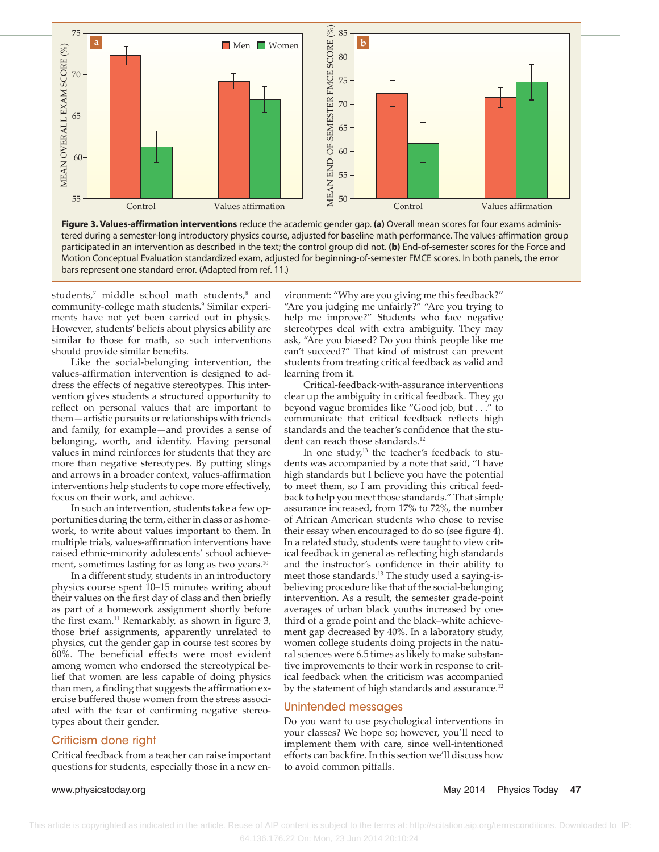

tered during a semester-long introductory physics course, adjusted for baseline math performance. The values-affirmation group participated in an intervention as described in the text; the control group did not. **(b)** End-of-semester scores for the Force and Motion Conceptual Evaluation standardized exam, adjusted for beginning-of-semester FMCE scores. In both panels, the error bars represent one standard error. (Adapted from ref. 11.)

students, $^7$  middle school math students, $^8$  and community-college math students.<sup>9</sup> Similar experiments have not yet been carried out in physics. However, students' beliefs about physics ability are similar to those for math, so such interventions should provide similar benefits.

Like the social-belonging intervention, the values-affirmation intervention is designed to address the effects of negative stereotypes. This intervention gives students a structured opportunity to reflect on personal values that are important to them—artistic pursuits or relationships with friends and family, for example—and provides a sense of belonging, worth, and identity. Having personal values in mind reinforces for students that they are more than negative stereotypes. By putting slings and arrows in a broader context, values-affirmation interventions help students to cope more effectively, focus on their work, and achieve.

In such an intervention, students take a few opportunities during the term, either in class or as homework, to write about values important to them. In multiple trials, values-affirmation interventions have raised ethnic-minority adolescents' school achievement, sometimes lasting for as long as two years.<sup>10</sup>

In a different study, students in an introductory physics course spent 10–15 minutes writing about their values on the first day of class and then briefly as part of a homework assignment shortly before the first exam.<sup>11</sup> Remarkably, as shown in figure 3, those brief assignments, apparently unrelated to physics, cut the gender gap in course test scores by 60%. The beneficial effects were most evident among women who endorsed the stereotypical belief that women are less capable of doing physics than men, a finding that suggests the affirmation exercise buffered those women from the stress associated with the fear of confirming negative stereotypes about their gender.

### Criticism done right

Critical feedback from a teacher can raise important questions for students, especially those in a new environment: "Why are you giving me this feedback?" "Are you judging me unfairly?" "Are you trying to help me improve?" Students who face negative stereotypes deal with extra ambiguity. They may ask, "Are you biased? Do you think people like me can't succeed?" That kind of mistrust can prevent students from treating critical feedback as valid and learning from it.

Critical-feedback-with-assurance interventions clear up the ambiguity in critical feedback. They go beyond vague bromides like "Good job, but . . ." to communicate that critical feedback reflects high standards and the teacher's confidence that the student can reach those standards.<sup>12</sup>

In one study, $13$  the teacher's feedback to students was accompanied by a note that said, "I have high standards but I believe you have the potential to meet them, so I am providing this critical feedback to help you meet those standards." That simple assurance increased, from 17% to 72%, the number of African American students who chose to revise their essay when encouraged to do so (see figure 4). In a related study, students were taught to view critical feedback in general as reflecting high standards and the instructor's confidence in their ability to meet those standards.13 The study used a saying-isbelieving procedure like that of the social-belonging intervention. As a result, the semester grade-point averages of urban black youths increased by onethird of a grade point and the black–white achievement gap decreased by 40%. In a laboratory study, women college students doing projects in the natural sciences were 6.5 times as likely to make substantive improvements to their work in response to critical feedback when the criticism was accompanied by the statement of high standards and assurance.<sup>12</sup>

### Unintended messages

Do you want to use psychological interventions in your classes? We hope so; however, you'll need to implement them with care, since well-intentioned efforts can backfire. In this section we'll discuss how to avoid common pitfalls.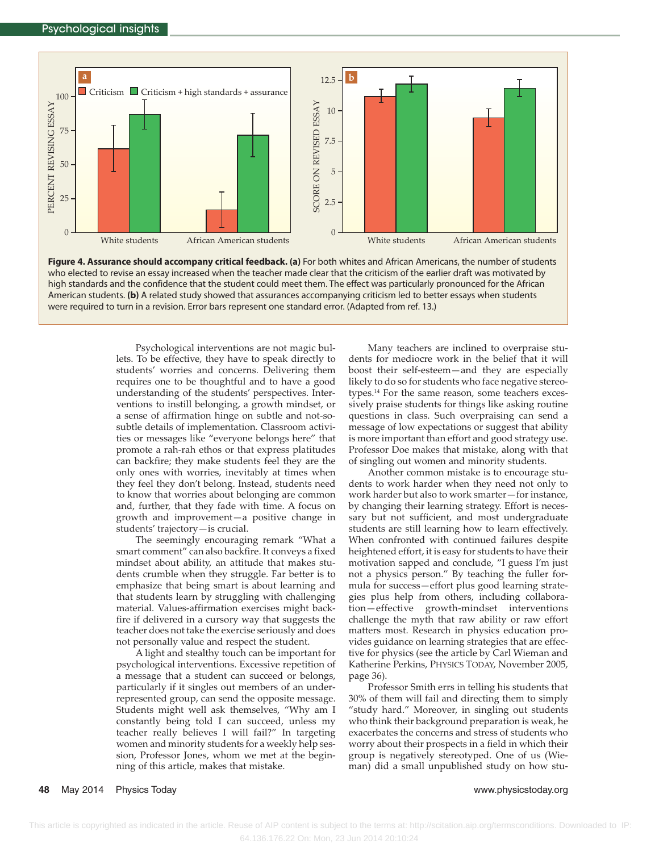

**Figure 4. Assurance should accompany critical feedback. (a)** For both whites and African Americans, the number of students who elected to revise an essay increased when the teacher made clear that the criticism of the earlier draft was motivated by high standards and the confidence that the student could meet them. The effect was particularly pronounced for the African American students. **(b)** A related study showed that assurances accompanying criticism led to better essays when students were required to turn in a revision. Error bars represent one standard error. (Adapted from ref. 13.)

Psychological interventions are not magic bullets. To be effective, they have to speak directly to students' worries and concerns. Delivering them requires one to be thoughtful and to have a good understanding of the students' perspectives. Interventions to instill belonging, a growth mindset, or a sense of affirmation hinge on subtle and not-sosubtle details of implementation. Classroom activities or messages like "everyone belongs here" that promote a rah-rah ethos or that express platitudes can backfire; they make students feel they are the only ones with worries, inevitably at times when they feel they don't belong. Instead, students need to know that worries about belonging are common and, further, that they fade with time. A focus on growth and improvement—a positive change in students' trajectory—is crucial.

The seemingly encouraging remark "What a smart comment" can also backfire. It conveys a fixed mindset about ability, an attitude that makes students crumble when they struggle. Far better is to emphasize that being smart is about learning and that students learn by struggling with challenging material. Values-affirmation exercises might backfire if delivered in a cursory way that suggests the teacher does not take the exercise seriously and does not personally value and respect the student.

A light and stealthy touch can be important for psychological interventions. Excessive repetition of a message that a student can succeed or belongs, particularly if it singles out members of an underrepresented group, can send the opposite message. Students might well ask themselves, "Why am I constantly being told I can succeed, unless my teacher really believes I will fail?" In targeting women and minority students for a weekly help session, Professor Jones, whom we met at the beginning of this article, makes that mistake.

Many teachers are inclined to overpraise students for mediocre work in the belief that it will boost their self-esteem—and they are especially likely to do so for students who face negative stereotypes.14 For the same reason, some teachers excessively praise students for things like asking routine questions in class. Such overpraising can send a message of low expectations or suggest that ability is more important than effort and good strategy use. Professor Doe makes that mistake, along with that of singling out women and minority students.

Another common mistake is to encourage students to work harder when they need not only to work harder but also to work smarter—for instance, by changing their learning strategy. Effort is necessary but not sufficient, and most undergraduate students are still learning how to learn effectively. When confronted with continued failures despite heightened effort, it is easy for students to have their motivation sapped and conclude, "I guess I'm just not a physics person." By teaching the fuller formula for success—effort plus good learning strategies plus help from others, including collaboration—effective growth-mindset interventions challenge the myth that raw ability or raw effort matters most. Research in physics education provides guidance on learning strategies that are effective for physics (see the article by Carl Wieman and Katherine Perkins, PHYSICS TODAY, November 2005, page 36).

Professor Smith errs in telling his students that 30% of them will fail and directing them to simply "study hard." Moreover, in singling out students who think their background preparation is weak, he exacerbates the concerns and stress of students who worry about their prospects in a field in which their group is negatively stereotyped. One of us (Wieman) did a small unpublished study on how stu